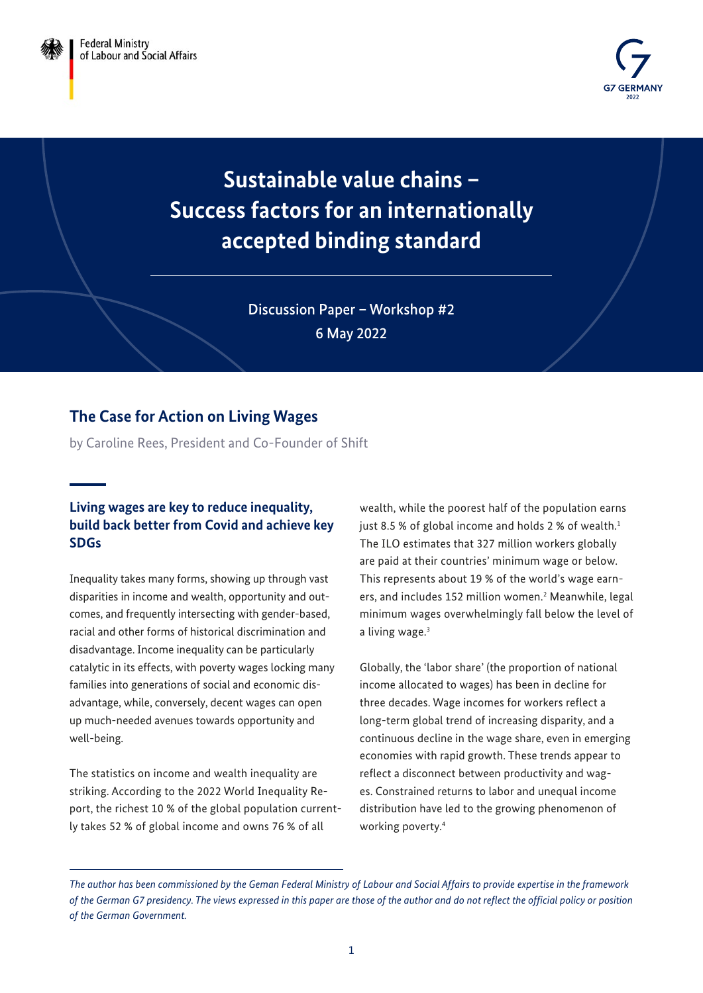

**Sustainable value chains – Success factors for an internationally accepted binding standard**

> Discussion Paper – Workshop #2 6 May 2022

# **The Case for Action on Living Wages**

by Caroline Rees, President and Co-Founder of Shift

## **Living wages are key to reduce inequality, build back better from Covid and achieve key SDGs**

Inequality takes many forms, showing up through vast disparities in income and wealth, opportunity and outcomes, and frequently intersecting with gender-based, racial and other forms of historical discrimination and disadvantage. Income inequality can be particularly catalytic in its effects, with poverty wages locking many families into generations of social and economic disadvantage, while, conversely, decent wages can open up much-needed avenues towards opportunity and well-being.

The statistics on income and wealth inequality are striking. According to the 2022 World Inequality Report, the richest 10 % of the global population currently takes 52 % of global income and owns 76 % of all

wealth, while the poorest half of the population earns just 8.5 % of global income and holds 2 % of wealth. $1$ The ILO estimates that 327 million workers globally are paid at their countries' minimum wage or below. This represents about 19 % of the world's wage earners, and includes 152 million women.<sup>2</sup> Meanwhile, legal minimum wages overwhelmingly fall below the level of a living wage.<sup>3</sup>

Globally, the 'labor share' (the proportion of national income allocated to wages) has been in decline for three decades. Wage incomes for workers reflect a long-term global trend of increasing disparity, and a continuous decline in the wage share, even in emerging economies with rapid growth. These trends appear to reflect a disconnect between productivity and wages. Constrained returns to labor and unequal income distribution have led to the growing phenomenon of working poverty[.4](#page-6-0)

*The author has been commissioned by the Geman Federal Ministry of Labour and Social Affairs to provide expertise in the framework of the German G7 presidency. The views expressed in this paper are those of the author and do not reflect the official policy or position of the German Government.*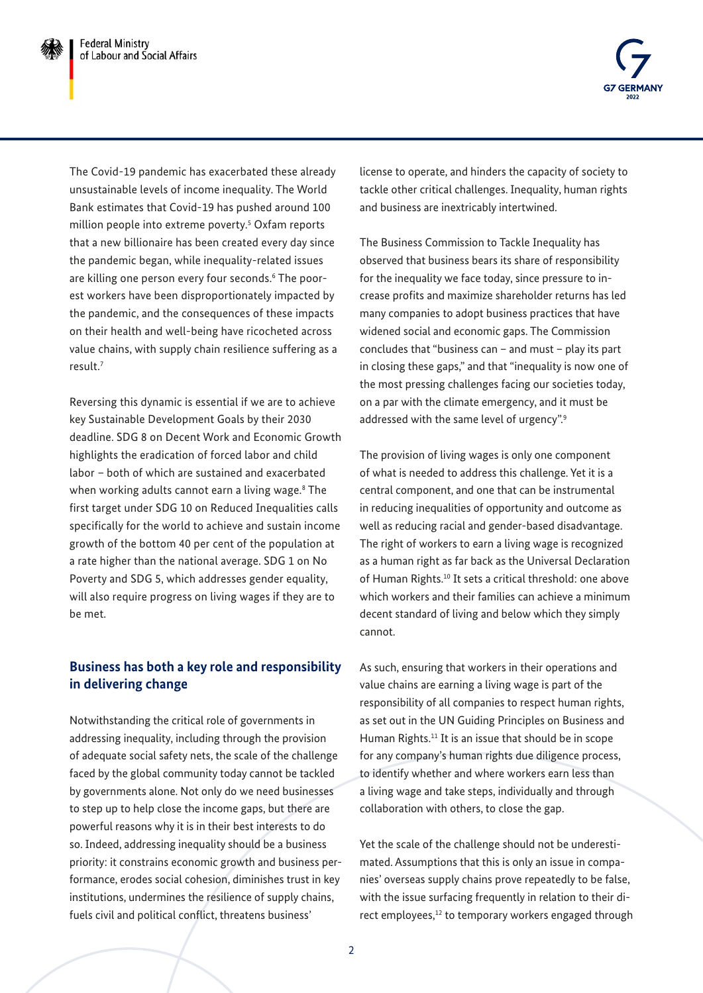

The Covid-19 pandemic has exacerbated these already unsustainable levels of income inequality. The World Bank estimates that Covid-19 has pushed around 100 million people into extreme poverty.[5](#page-6-0) Oxfam reports that a new billionaire has been created every day since the pandemic began, while inequality-related issues are killing one person every four seconds[.6](#page-6-0) The poorest workers have been disproportionately impacted by the pandemic, and the consequences of these impacts on their health and well-being have ricocheted across value chains, with supply chain resilience suffering as a result.[7](#page-6-0)

Reversing this dynamic is essential if we are to achieve key Sustainable Development Goals by their 2030 deadline. SDG 8 on Decent Work and Economic Growth highlights the eradication of forced labor and child labor – both of which are sustained and exacerbated when working adults cannot earn a living wage.<sup>[8](#page-6-0)</sup> The first target under SDG 10 on Reduced Inequalities calls specifically for the world to achieve and sustain income growth of the bottom 40 per cent of the population at a rate higher than the national average. SDG 1 on No Poverty and SDG 5, which addresses gender equality, will also require progress on living wages if they are to be met.

## **Business has both a key role and responsibility in delivering change**

Notwithstanding the critical role of governments in addressing inequality, including through the provision of adequate social safety nets, the scale of the challenge faced by the global community today cannot be tackled by governments alone. Not only do we need businesses to step up to help close the income gaps, but there are powerful reasons why it is in their best interests to do so. Indeed, addressing inequality should be a business priority: it constrains economic growth and business performance, erodes social cohesion, diminishes trust in key institutions, undermines the resilience of supply chains, fuels civil and political conflict, threatens business'

license to operate, and hinders the capacity of society to tackle other critical challenges. Inequality, human rights and business are inextricably intertwined.

The Business Commission to Tackle Inequality has observed that business bears its share of responsibility for the inequality we face today, since pressure to increase profits and maximize shareholder returns has led many companies to adopt business practices that have widened social and economic gaps. The Commission concludes that "business can – and must – play its part in closing these gaps," and that "inequality is now one of the most pressing challenges facing our societies today, on a par with the climate emergency, and it must be addressed with the same level of urgency".<sup>9</sup>

The provision of living wages is only one component of what is needed to address this challenge. Yet it is a central component, and one that can be instrumental in reducing inequalities of opportunity and outcome as well as reducing racial and gender-based disadvantage. The right of workers to earn a living wage is recognized as a human right as far back as the Universal Declaration of Human Rights.[10](#page-6-0) It sets a critical threshold: one above which workers and their families can achieve a minimum decent standard of living and below which they simply cannot.

As such, ensuring that workers in their operations and value chains are earning a living wage is part of the responsibility of all companies to respect human rights, as set out in the UN Guiding Principles on Business and Human Rights.<sup>11</sup> It is an issue that should be in scope for any company's human rights due diligence process, to identify whether and where workers earn less than a living wage and take steps, individually and through collaboration with others, to close the gap.

Yet the scale of the challenge should not be underestimated. Assumptions that this is only an issue in companies' overseas supply chains prove repeatedly to be false, with the issue surfacing frequently in relation to their direct employees,<sup>12</sup> to temporary workers engaged through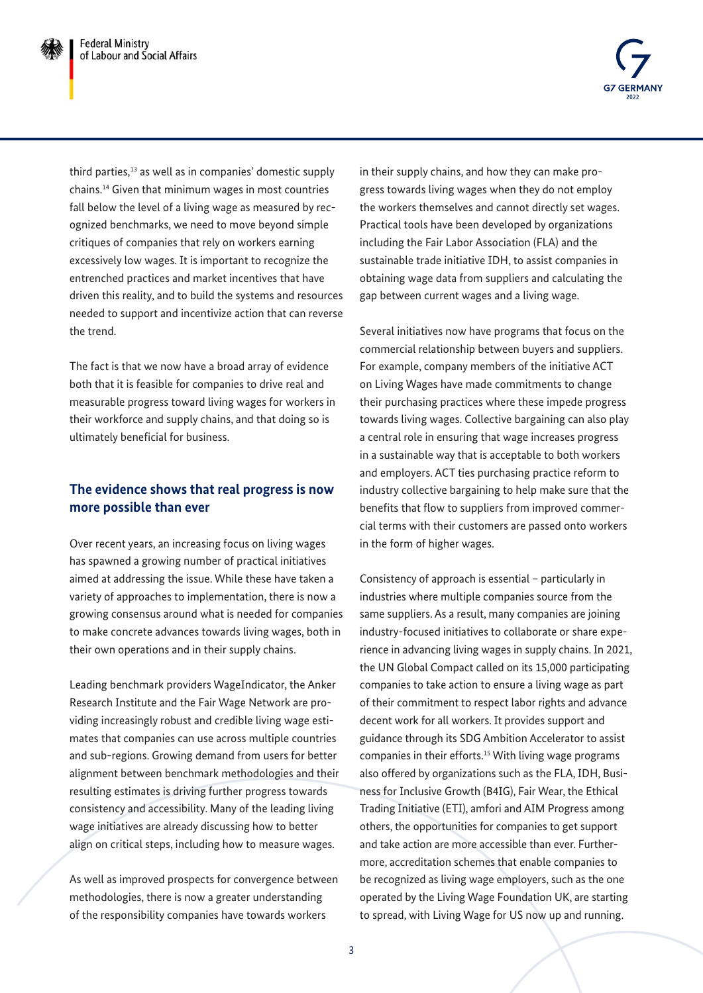

third parties, $13$  as well as in companies' domestic supply chains.[14](#page-6-0) Given that minimum wages in most countries fall below the level of a living wage as measured by recognized benchmarks, we need to move beyond simple critiques of companies that rely on workers earning excessively low wages. It is important to recognize the entrenched practices and market incentives that have driven this reality, and to build the systems and resources needed to support and incentivize action that can reverse the trend.

The fact is that we now have a broad array of evidence both that it is feasible for companies to drive real and measurable progress toward living wages for workers in their workforce and supply chains, and that doing so is ultimately beneficial for business.

## **The evidence shows that real progress is now more possible than ever**

Over recent years, an increasing focus on living wages has spawned a growing number of practical initiatives aimed at addressing the issue. While these have taken a variety of approaches to implementation, there is now a growing consensus around what is needed for companies to make concrete advances towards living wages, both in their own operations and in their supply chains.

Leading benchmark providers WageIndicator, the Anker Research Institute and the Fair Wage Network are providing increasingly robust and credible living wage estimates that companies can use across multiple countries and sub-regions. Growing demand from users for better alignment between benchmark methodologies and their resulting estimates is driving further progress towards consistency and accessibility. Many of the leading living wage initiatives are already discussing how to better align on critical steps, including how to measure wages.

As well as improved prospects for convergence between methodologies, there is now a greater understanding of the responsibility companies have towards workers

in their supply chains, and how they can make progress towards living wages when they do not employ the workers themselves and cannot directly set wages. Practical tools have been developed by organizations including the Fair Labor Association (FLA) and the sustainable trade initiative IDH, to assist companies in obtaining wage data from suppliers and calculating the gap between current wages and a living wage.

Several initiatives now have programs that focus on the commercial relationship between buyers and suppliers. For example, company members of the initiative ACT on Living Wages have made commitments to change their purchasing practices where these impede progress towards living wages. Collective bargaining can also play a central role in ensuring that wage increases progress in a sustainable way that is acceptable to both workers and employers. ACT ties purchasing practice reform to industry collective bargaining to help make sure that the benefits that flow to suppliers from improved commercial terms with their customers are passed onto workers in the form of higher wages.

Consistency of approach is essential – particularly in industries where multiple companies source from the same suppliers. As a result, many companies are joining industry-focused initiatives to collaborate or share experience in advancing living wages in supply chains. In 2021, the UN Global Compact called on its 15,000 participating companies to take action to ensure a living wage as part of their commitment to respect labor rights and advance decent work for all workers. It provides support and guidance through its SDG Ambition Accelerator to assist companies in their efforts.[15](#page-6-0) With living wage programs also offered by organizations such as the FLA, IDH, Business for Inclusive Growth (B4IG), Fair Wear, the Ethical Trading Initiative (ETI), amfori and AIM Progress among others, the opportunities for companies to get support and take action are more accessible than ever. Furthermore, accreditation schemes that enable companies to be recognized as living wage employers, such as the one operated by the Living Wage Foundation UK, are starting to spread, with Living Wage for US now up and running.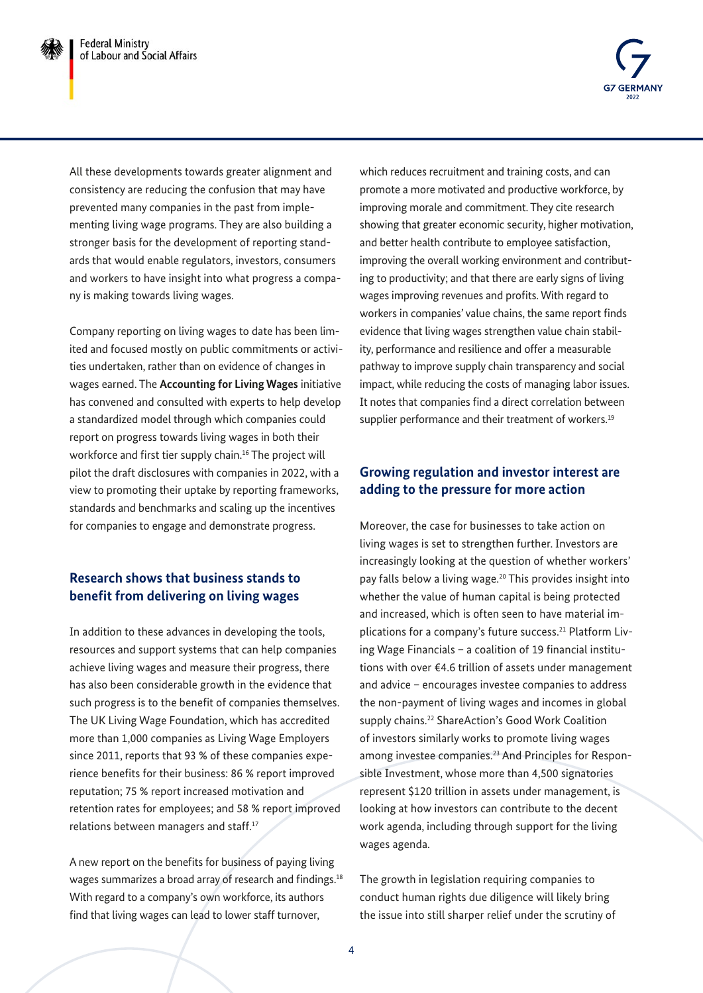

All these developments towards greater alignment and consistency are reducing the confusion that may have prevented many companies in the past from implementing living wage programs. They are also building a stronger basis for the development of reporting standards that would enable regulators, investors, consumers and workers to have insight into what progress a company is making towards living wages.

Company reporting on living wages to date has been limited and focused mostly on public commitments or activities undertaken, rather than on evidence of changes in wages earned. The **Accounting for Living Wages** initiative has convened and consulted with experts to help develop a standardized model through which companies could report on progress towards living wages in both their workforce and first tier supply chain.<sup>16</sup> The project will pilot the draft disclosures with companies in 2022, with a view to promoting their uptake by reporting frameworks, standards and benchmarks and scaling up the incentives for companies to engage and demonstrate progress.

## **Research shows that business stands to benefit from delivering on living wages**

In addition to these advances in developing the tools, resources and support systems that can help companies achieve living wages and measure their progress, there has also been considerable growth in the evidence that such progress is to the benefit of companies themselves. The UK Living Wage Foundation, which has accredited more than 1,000 companies as Living Wage Employers since 2011, reports that 93 % of these companies experience benefits for their business: 86 % report improved reputation; 75 % report increased motivation and retention rates for employees; and 58 % report improved relations between managers and staff.<sup>17</sup>

A new report on the benefits for business of paying living wages summarizes a broad array of research and findings.<sup>[18](#page-6-0)</sup> With regard to a company's own workforce, its authors find that living wages can lead to lower staff turnover,

which reduces recruitment and training costs, and can promote a more motivated and productive workforce, by improving morale and commitment. They cite research showing that greater economic security, higher motivation, and better health contribute to employee satisfaction, improving the overall working environment and contributing to productivity; and that there are early signs of living wages improving revenues and profits. With regard to workers in companies' value chains, the same report finds evidence that living wages strengthen value chain stability, performance and resilience and offer a measurable pathway to improve supply chain transparency and social impact, while reducing the costs of managing labor issues. It notes that companies find a direct correlation between supplier performance and their treatment of workers.<sup>[19](#page-6-0)</sup>

#### **Growing regulation and investor interest are adding to the pressure for more action**

Moreover, the case for businesses to take action on living wages is set to strengthen further. Investors are increasingly looking at the question of whether workers' pay falls below a living wage.[20](#page-6-0) This provides insight into whether the value of human capital is being protected and increased, which is often seen to have material implications for a company's future success.<sup>21</sup> Platform Living Wage Financials – a coalition of 19 financial institutions with over €4.6 trillion of assets under management and advice – encourages investee companies to address the non-payment of living wages and incomes in global supply chains.<sup>22</sup> ShareAction's Good Work Coalition of investors similarly works to promote living wages among investee companies[.23](#page-7-0) And Principles for Responsible Investment, whose more than 4,500 signatories represent \$120 trillion in assets under management, is looking at how investors can contribute to the decent work agenda, including through support for the living wages agenda.

The growth in legislation requiring companies to conduct human rights due diligence will likely bring the issue into still sharper relief under the scrutiny of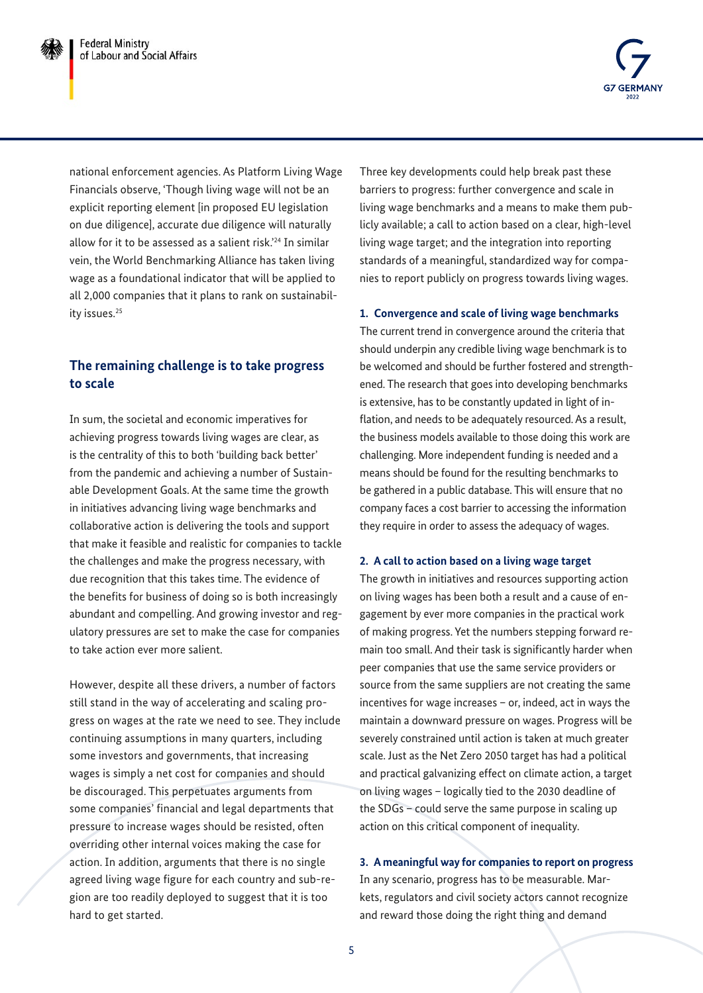

national enforcement agencies. As Platform Living Wage Financials observe, 'Though living wage will not be an explicit reporting element [in proposed EU legislation on due diligence], accurate due diligence will naturally allow for it to be assessed as a salient risk.['24](#page-7-0) In similar vein, the World Benchmarking Alliance has taken living wage as a foundational indicator that will be applied to all 2,000 companies that it plans to rank on sustainabil-ity issues.<sup>[25](#page-7-0)</sup>

### **The remaining challenge is to take progress to scale**

In sum, the societal and economic imperatives for achieving progress towards living wages are clear, as is the centrality of this to both 'building back better' from the pandemic and achieving a number of Sustainable Development Goals. At the same time the growth in initiatives advancing living wage benchmarks and collaborative action is delivering the tools and support that make it feasible and realistic for companies to tackle the challenges and make the progress necessary, with due recognition that this takes time. The evidence of the benefits for business of doing so is both increasingly abundant and compelling. And growing investor and regulatory pressures are set to make the case for companies to take action ever more salient.

However, despite all these drivers, a number of factors still stand in the way of accelerating and scaling progress on wages at the rate we need to see. They include continuing assumptions in many quarters, including some investors and governments, that increasing wages is simply a net cost for companies and should be discouraged. This perpetuates arguments from some companies' financial and legal departments that pressure to increase wages should be resisted, often overriding other internal voices making the case for action. In addition, arguments that there is no single agreed living wage figure for each country and sub-region are too readily deployed to suggest that it is too hard to get started.

Three key developments could help break past these barriers to progress: further convergence and scale in living wage benchmarks and a means to make them publicly available; a call to action based on a clear, high-level living wage target; and the integration into reporting standards of a meaningful, standardized way for companies to report publicly on progress towards living wages.

#### **1. Convergence and scale of living wage benchmarks**

The current trend in convergence around the criteria that should underpin any credible living wage benchmark is to be welcomed and should be further fostered and strengthened. The research that goes into developing benchmarks is extensive, has to be constantly updated in light of inflation, and needs to be adequately resourced. As a result, the business models available to those doing this work are challenging. More independent funding is needed and a means should be found for the resulting benchmarks to be gathered in a public database. This will ensure that no company faces a cost barrier to accessing the information they require in order to assess the adequacy of wages.

#### **2. A call to action based on a living wage target**

The growth in initiatives and resources supporting action on living wages has been both a result and a cause of engagement by ever more companies in the practical work of making progress. Yet the numbers stepping forward remain too small. And their task is significantly harder when peer companies that use the same service providers or source from the same suppliers are not creating the same incentives for wage increases – or, indeed, act in ways the maintain a downward pressure on wages. Progress will be severely constrained until action is taken at much greater scale. Just as the Net Zero 2050 target has had a political and practical galvanizing effect on climate action, a target on living wages – logically tied to the 2030 deadline of the SDGs – could serve the same purpose in scaling up action on this critical component of inequality.

**3. A meaningful way for companies to report on progress** In any scenario, progress has to be measurable. Markets, regulators and civil society actors cannot recognize and reward those doing the right thing and demand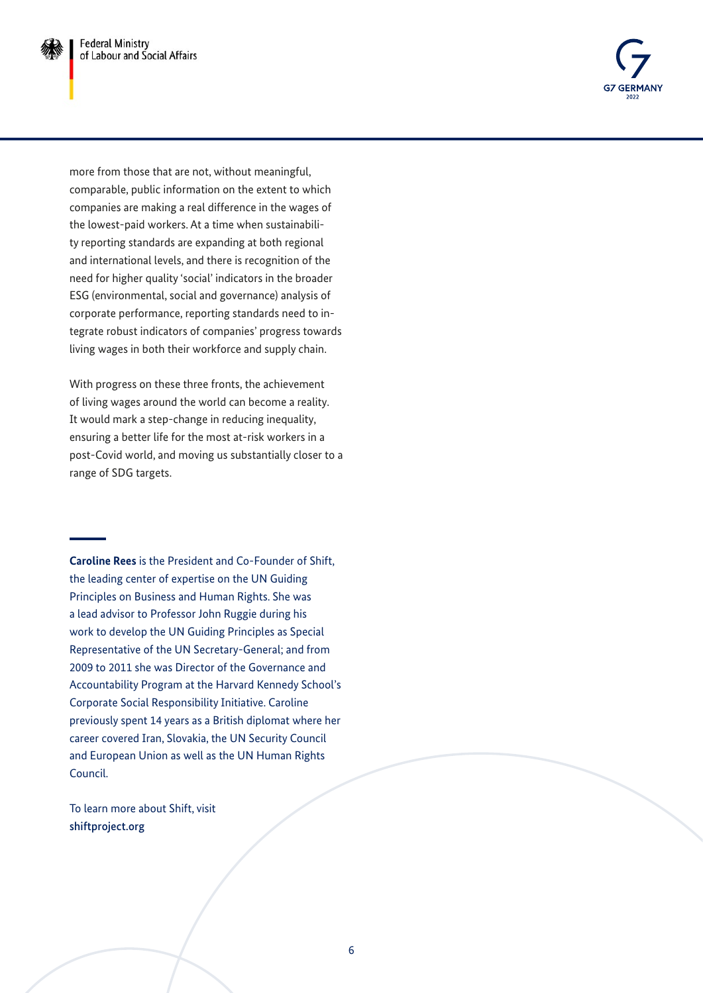

more from those that are not, without meaningful, comparable, public information on the extent to which companies are making a real difference in the wages of the lowest-paid workers. At a time when sustainability reporting standards are expanding at both regional and international levels, and there is recognition of the need for higher quality 'social' indicators in the broader ESG (environmental, social and governance) analysis of corporate performance, reporting standards need to integrate robust indicators of companies' progress towards living wages in both their workforce and supply chain.

With progress on these three fronts, the achievement of living wages around the world can become a reality. It would mark a step-change in reducing inequality, ensuring a better life for the most at-risk workers in a post-Covid world, and moving us substantially closer to a range of SDG targets.

**Caroline Rees** is the President and Co-Founder of Shift, the leading center of expertise on the UN Guiding Principles on Business and Human Rights. She was a lead advisor to Professor John Ruggie during his work to develop the UN Guiding Principles as Special Representative of the UN Secretary-General; and from 2009 to 2011 she was Director of the Governance and Accountability Program at the Harvard Kennedy School's Corporate Social Responsibility Initiative. Caroline previously spent 14 years as a British diplomat where her career covered Iran, Slovakia, the UN Security Council and European Union as well as the UN Human Rights Council.

To learn more about Shift, visit [shiftproject.org](http://shiftproject.org)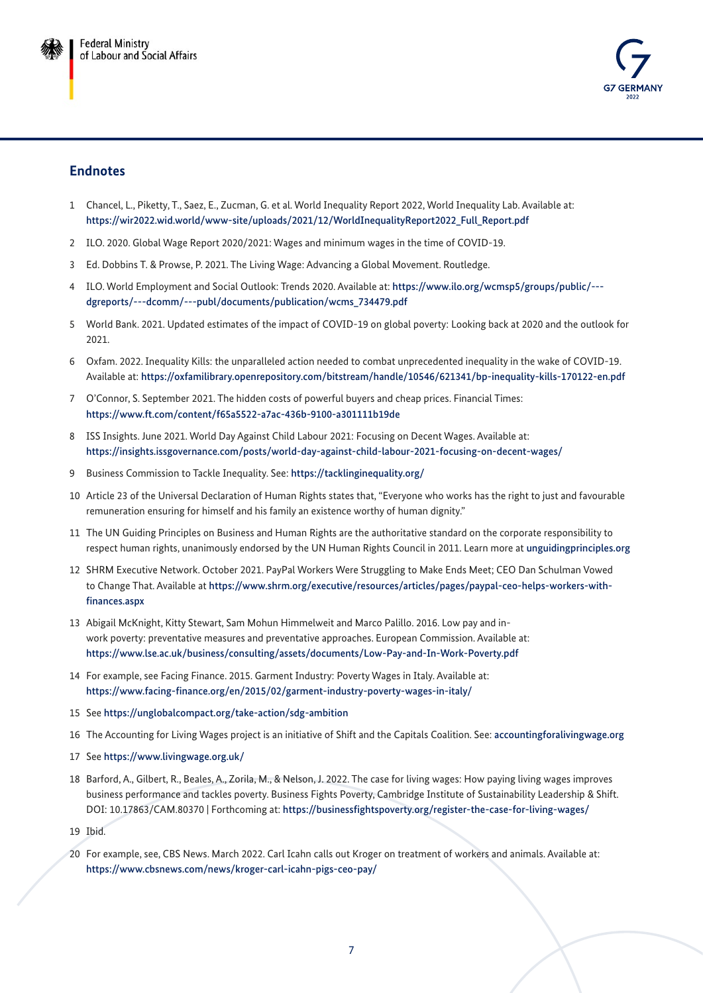

#### <span id="page-6-0"></span>**Endnotes**

- 1 Chancel, L., Piketty, T., Saez, E., Zucman, G. et al. World Inequality Report 2022, World Inequality Lab. Available at: [https://wir2022.wid.world/www-site/uploads/2021/12/WorldInequalityReport2022\\_Full\\_Report.pdf](https://wir2022.wid.world/www-site/uploads/2021/12/WorldInequalityReport2022_Full_Report.pdf)
- 2 ILO. 2020. Global Wage Report 2020/2021: Wages and minimum wages in the time of COVID-19.
- 3 Ed. Dobbins T. & Prowse, P. 2021. The Living Wage: Advancing a Global Movement. Routledge.
- 4 ILO. World Employment and Social Outlook: Trends 2020. Available at: [https://www.ilo.org/wcmsp5/groups/public/--](https://www.ilo.org/wcmsp5/groups/public/---dgreports/---dcomm/---publ/documents/publication/wcms_73) [dgreports/---dcomm/---publ/documents/publication/wcms\\_734479.pdf](https://www.ilo.org/wcmsp5/groups/public/---dgreports/---dcomm/---publ/documents/publication/wcms_73)
- 5 World Bank. 2021. Updated estimates of the impact of COVID-19 on global poverty: Looking back at 2020 and the outlook for 2021.
- 6 Oxfam. 2022. Inequality Kills: the unparalleled action needed to combat unprecedented inequality in the wake of COVID-19. Available at: [https://oxfamilibrary.openrepository.com/bitstream/handle/10546/621341/bp-inequality-kills-170122-en.pdf](https://oxfamilibrary.openrepository.com/bitstream/handle/10546/621341/bp-inequality-kills-170122-en)
- 7 O'Connor, S. September 2021. The hidden costs of powerful buyers and cheap prices. Financial Times: <https://www.ft.com/content/f65a5522-a7ac-436b-9100-a301111b19de>
- 8 ISS Insights. June 2021. World Day Against Child Labour 2021: Focusing on Decent Wages. Available at: [https://insights.issgovernance.com/posts/world-day-against-child-labour-2021-focusing-on-decent-wages/](https://insights.issgovernance.com/posts/world-day-against-child-labour-2021-focusing-on-decent-wage)
- 9 Business Commission to Tackle Inequality. See: <https://tacklinginequality.org/>
- 10 Article 23 of the Universal Declaration of Human Rights states that, "Everyone who works has the right to just and favourable remuneration ensuring for himself and his family an existence worthy of human dignity."
- 11 The UN Guiding Principles on Business and Human Rights are the authoritative standard on the corporate responsibility to respect human rights, unanimously endorsed by the UN Human Rights Council in 2011. Learn more at [unguidingprinciples.org](http://unguidingprinciples.org)
- 12 SHRM Executive Network. October 2021. PayPal Workers Were Struggling to Make Ends Meet; CEO Dan Schulman Vowed to Change That. Available at [https://www.shrm.org/executive/resources/articles/pages/paypal-ceo-helps-workers-with](https://www.shrm.org/executive/resources/articles/pages/paypal-ceo-helps-workers-with-finances.aspx)[finances.aspx](https://www.shrm.org/executive/resources/articles/pages/paypal-ceo-helps-workers-with-finances.aspx)
- 13 Abigail McKnight, Kitty Stewart, Sam Mohun Himmelweit and Marco Palillo. 2016. Low pay and inwork poverty: preventative measures and preventative approaches. European Commission. Available at: <https://www.lse.ac.uk/business/consulting/assets/documents/Low-Pay-and-In-Work-Poverty.pdf>
- 14 For example, see Facing Finance. 2015. Garment Industry: Poverty Wages in Italy. Available at: <https://www.facing-finance.org/en/2015/02/garment-industry-poverty-wages-in-italy/>
- 15 See <https://unglobalcompact.org/take-action/sdg-ambition>
- 16 The Accounting for Living Wages project is an initiative of Shift and the Capitals Coalition. See: [accountingforalivingwage.org](http://accountingforalivingwage.org)
- 17 See <https://www.livingwage.org.uk/>
- 18 Barford, A., Gilbert, R., Beales, A., Zorila, M., & Nelson, J. 2022. The case for living wages: How paying living wages improves business performance and tackles poverty. Business Fights Poverty, Cambridge Institute of Sustainability Leadership & Shift. DOI: 10.17863/CAM.80370 | Forthcoming at: <https://businessfightspoverty.org/register-the-case-for-living-wages/>
- 19 Ibid.
- 20 For example, see, CBS News. March 2022. Carl Icahn calls out Kroger on treatment of workers and animals. Available at: <https://www.cbsnews.com/news/kroger-carl-icahn-pigs-ceo-pay/>